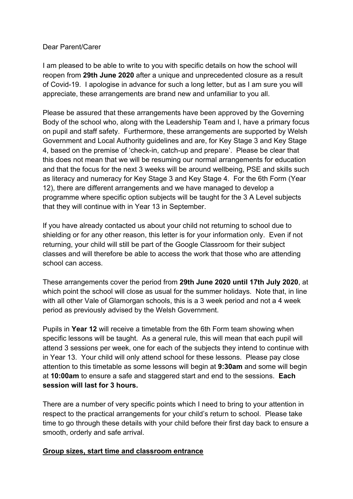### Dear Parent/Carer

I am pleased to be able to write to you with specific details on how the school will reopen from **29th June 2020** after a unique and unprecedented closure as a result of Covid-19. I apologise in advance for such a long letter, but as I am sure you will appreciate, these arrangements are brand new and unfamiliar to you all.

Please be assured that these arrangements have been approved by the Governing Body of the school who, along with the Leadership Team and I, have a primary focus on pupil and staff safety. Furthermore, these arrangements are supported by Welsh Government and Local Authority guidelines and are, for Key Stage 3 and Key Stage 4, based on the premise of 'check-in, catch-up and prepare'. Please be clear that this does not mean that we will be resuming our normal arrangements for education and that the focus for the next 3 weeks will be around wellbeing, PSE and skills such as literacy and numeracy for Key Stage 3 and Key Stage 4. For the 6th Form (Year 12), there are different arrangements and we have managed to develop a programme where specific option subjects will be taught for the 3 A Level subjects that they will continue with in Year 13 in September.

If you have already contacted us about your child not returning to school due to shielding or for any other reason, this letter is for your information only. Even if not returning, your child will still be part of the Google Classroom for their subject classes and will therefore be able to access the work that those who are attending school can access.

These arrangements cover the period from **29th June 2020 until 17th July 2020**, at which point the school will close as usual for the summer holidays. Note that, in line with all other Vale of Glamorgan schools, this is a 3 week period and not a 4 week period as previously advised by the Welsh Government.

Pupils in **Year 12** will receive a timetable from the 6th Form team showing when specific lessons will be taught. As a general rule, this will mean that each pupil will attend 3 sessions per week, one for each of the subjects they intend to continue with in Year 13. Your child will only attend school for these lessons. Please pay close attention to this timetable as some lessons will begin at **9:30am** and some will begin at **10:00am** to ensure a safe and staggered start and end to the sessions. **Each session will last for 3 hours.**

There are a number of very specific points which I need to bring to your attention in respect to the practical arrangements for your child's return to school. Please take time to go through these details with your child before their first day back to ensure a smooth, orderly and safe arrival.

## **Group sizes, start time and classroom entrance**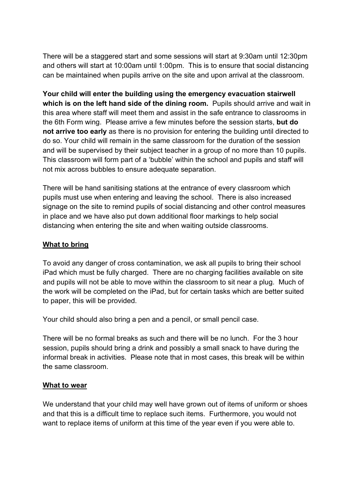There will be a staggered start and some sessions will start at 9:30am until 12:30pm and others will start at 10:00am until 1:00pm. This is to ensure that social distancing can be maintained when pupils arrive on the site and upon arrival at the classroom.

**Your child will enter the building using the emergency evacuation stairwell which is on the left hand side of the dining room.** Pupils should arrive and wait in this area where staff will meet them and assist in the safe entrance to classrooms in the 6th Form wing. Please arrive a few minutes before the session starts, **but do not arrive too early** as there is no provision for entering the building until directed to do so. Your child will remain in the same classroom for the duration of the session and will be supervised by their subject teacher in a group of no more than 10 pupils. This classroom will form part of a 'bubble' within the school and pupils and staff will not mix across bubbles to ensure adequate separation.

There will be hand sanitising stations at the entrance of every classroom which pupils must use when entering and leaving the school. There is also increased signage on the site to remind pupils of social distancing and other control measures in place and we have also put down additional floor markings to help social distancing when entering the site and when waiting outside classrooms.

### **What to bring**

To avoid any danger of cross contamination, we ask all pupils to bring their school iPad which must be fully charged. There are no charging facilities available on site and pupils will not be able to move within the classroom to sit near a plug. Much of the work will be completed on the iPad, but for certain tasks which are better suited to paper, this will be provided.

Your child should also bring a pen and a pencil, or small pencil case.

There will be no formal breaks as such and there will be no lunch. For the 3 hour session, pupils should bring a drink and possibly a small snack to have during the informal break in activities. Please note that in most cases, this break will be within the same classroom.

#### **What to wear**

We understand that your child may well have grown out of items of uniform or shoes and that this is a difficult time to replace such items. Furthermore, you would not want to replace items of uniform at this time of the year even if you were able to.